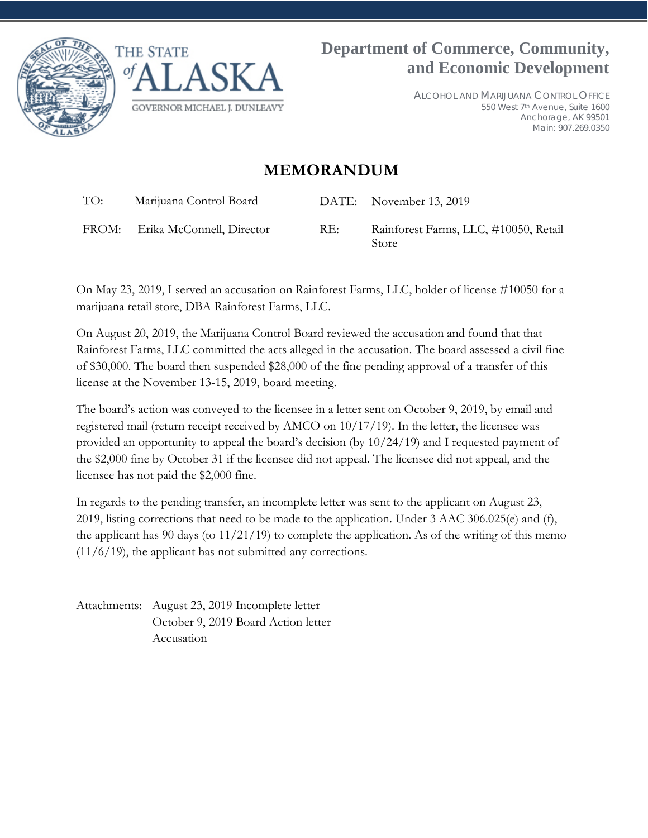



ALCOHOL AND MARIJUANA CONTROL OFFICE 550 West 7th Avenue, Suite 1600 Anchorage, AK 99501 Main: 907.269.0350

## **MEMORANDUM**

Store

| TO: | Marijuana Control Board         |     | DATE: November 13, 2019               |
|-----|---------------------------------|-----|---------------------------------------|
|     | FROM: Erika McConnell, Director | RE: | Rainforest Farms, LLC, #10050, Retail |

On May 23, 2019, I served an accusation on Rainforest Farms, LLC, holder of license #10050 for a marijuana retail store, DBA Rainforest Farms, LLC.

On August 20, 2019, the Marijuana Control Board reviewed the accusation and found that that Rainforest Farms, LLC committed the acts alleged in the accusation. The board assessed a civil fine of \$30,000. The board then suspended \$28,000 of the fine pending approval of a transfer of this license at the November 13-15, 2019, board meeting.

The board's action was conveyed to the licensee in a letter sent on October 9, 2019, by email and registered mail (return receipt received by AMCO on 10/17/19). In the letter, the licensee was provided an opportunity to appeal the board's decision (by 10/24/19) and I requested payment of the \$2,000 fine by October 31 if the licensee did not appeal. The licensee did not appeal, and the licensee has not paid the \$2,000 fine.

In regards to the pending transfer, an incomplete letter was sent to the applicant on August 23, 2019, listing corrections that need to be made to the application. Under 3 AAC 306.025(e) and (f), the applicant has 90 days (to 11/21/19) to complete the application. As of the writing of this memo  $(11/6/19)$ , the applicant has not submitted any corrections.

Attachments: August 23, 2019 Incomplete letter October 9, 2019 Board Action letter Accusation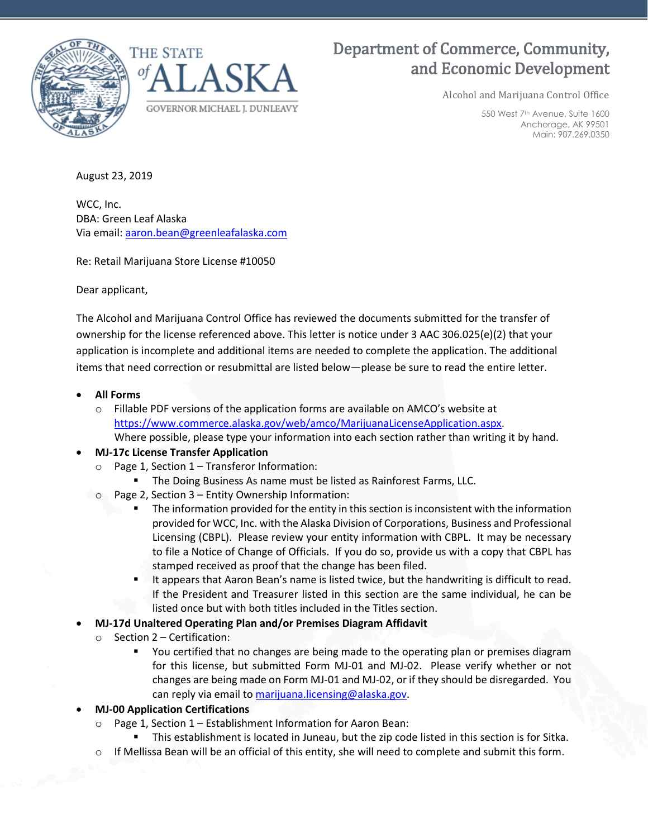



# Department of Commerce, Community, and Economic Development

Alcohol and Marijuana Control Office

550 West 7th Avenue, Suite 1600 Anchorage, AK 99501 Main: 907.269.0350

August 23, 2019

WCC, Inc. DBA: Green Leaf Alaska Via email: aaron.bean@greenleafalaska.com

Re: Retail Marijuana Store License #10050

Dear applicant,

The Alcohol and Marijuana Control Office has reviewed the documents submitted for the transfer of ownership for the license referenced above. This letter is notice under 3 AAC 306.025(e)(2) that your application is incomplete and additional items are needed to complete the application. The additional items that need correction or resubmittal are listed below—please be sure to read the entire letter.

#### • **All Forms**

 $\circ$  Fillable PDF versions of the application forms are available on AMCO's website at [https://www.commerce.alaska.gov/web/amco/MarijuanaLicenseApplication.aspx.](https://www.commerce.alaska.gov/web/amco/MarijuanaLicenseApplication.aspx) Where possible, please type your information into each section rather than writing it by hand.

#### • **MJ-17c License Transfer Application**

- Page 1, Section 1 Transferor Information:
	- **The Doing Business As name must be listed as Rainforest Farms, LLC.**
- o Page 2, Section 3 Entity Ownership Information:
	- The information provided for the entity in this section is inconsistent with the information provided for WCC, Inc. with the Alaska Division of Corporations, Business and Professional Licensing (CBPL). Please review your entity information with CBPL. It may be necessary to file a Notice of Change of Officials. If you do so, provide us with a copy that CBPL has stamped received as proof that the change has been filed.
	- **If appears that Aaron Bean's name is listed twice, but the handwriting is difficult to read.** If the President and Treasurer listed in this section are the same individual, he can be listed once but with both titles included in the Titles section.
- **MJ-17d Unaltered Operating Plan and/or Premises Diagram Affidavit**
	- o Section 2 Certification:
		- You certified that no changes are being made to the operating plan or premises diagram for this license, but submitted Form MJ-01 and MJ-02. Please verify whether or not changes are being made on Form MJ-01 and MJ-02, or if they should be disregarded. You can reply via email to marijuana.licensing@alaska.gov.

#### • **MJ-00 Application Certifications**

- Page 1, Section 1 Establishment Information for Aaron Bean:
	- **This establishment is located in Juneau, but the zip code listed in this section is for Sitka.**
- o If Mellissa Bean will be an official of this entity, she will need to complete and submit this form.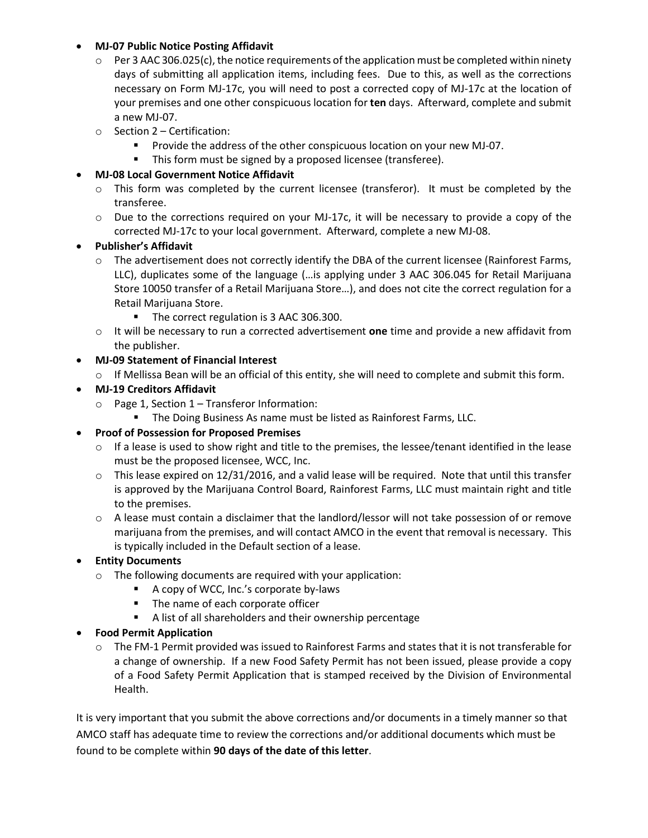#### • **MJ-07 Public Notice Posting Affidavit**

- $\circ$  Per 3 AAC 306.025(c), the notice requirements of the application must be completed within ninety days of submitting all application items, including fees. Due to this, as well as the corrections necessary on Form MJ-17c, you will need to post a corrected copy of MJ-17c at the location of your premises and one other conspicuous location for **ten** days. Afterward, complete and submit a new MJ-07.
- o Section 2 Certification:
	- Provide the address of the other conspicuous location on your new MJ-07.
	- This form must be signed by a proposed licensee (transferee).

## • **MJ-08 Local Government Notice Affidavit**

- $\circ$  This form was completed by the current licensee (transferor). It must be completed by the transferee.
- $\circ$  Due to the corrections required on your MJ-17c, it will be necessary to provide a copy of the corrected MJ-17c to your local government. Afterward, complete a new MJ-08.

### • **Publisher's Affidavit**

- o The advertisement does not correctly identify the DBA of the current licensee (Rainforest Farms, LLC), duplicates some of the language (…is applying under 3 AAC 306.045 for Retail Marijuana Store 10050 transfer of a Retail Marijuana Store…), and does not cite the correct regulation for a Retail Marijuana Store.
	- The correct regulation is 3 AAC 306.300.
- o It will be necessary to run a corrected advertisement **one** time and provide a new affidavit from the publisher.

## • **MJ-09 Statement of Financial Interest**

- o If Mellissa Bean will be an official of this entity, she will need to complete and submit this form.
- **MJ-19 Creditors Affidavit**
	- o Page 1, Section 1 Transferor Information:
		- **The Doing Business As name must be listed as Rainforest Farms, LLC.**
- **Proof of Possession for Proposed Premises**
	- $\circ$  If a lease is used to show right and title to the premises, the lessee/tenant identified in the lease must be the proposed licensee, WCC, Inc.
	- $\circ$  This lease expired on 12/31/2016, and a valid lease will be required. Note that until this transfer is approved by the Marijuana Control Board, Rainforest Farms, LLC must maintain right and title to the premises.
	- o A lease must contain a disclaimer that the landlord/lessor will not take possession of or remove marijuana from the premises, and will contact AMCO in the event that removal is necessary. This is typically included in the Default section of a lease.

### • **Entity Documents**

- o The following documents are required with your application:
	- A copy of WCC, Inc.'s corporate by-laws
	- **The name of each corporate officer**
	- A list of all shareholders and their ownership percentage

### • **Food Permit Application**

 $\circ$  The FM-1 Permit provided was issued to Rainforest Farms and states that it is not transferable for a change of ownership. If a new Food Safety Permit has not been issued, please provide a copy of a Food Safety Permit Application that is stamped received by the Division of Environmental Health.

It is very important that you submit the above corrections and/or documents in a timely manner so that AMCO staff has adequate time to review the corrections and/or additional documents which must be found to be complete within **90 days of the date of this letter**.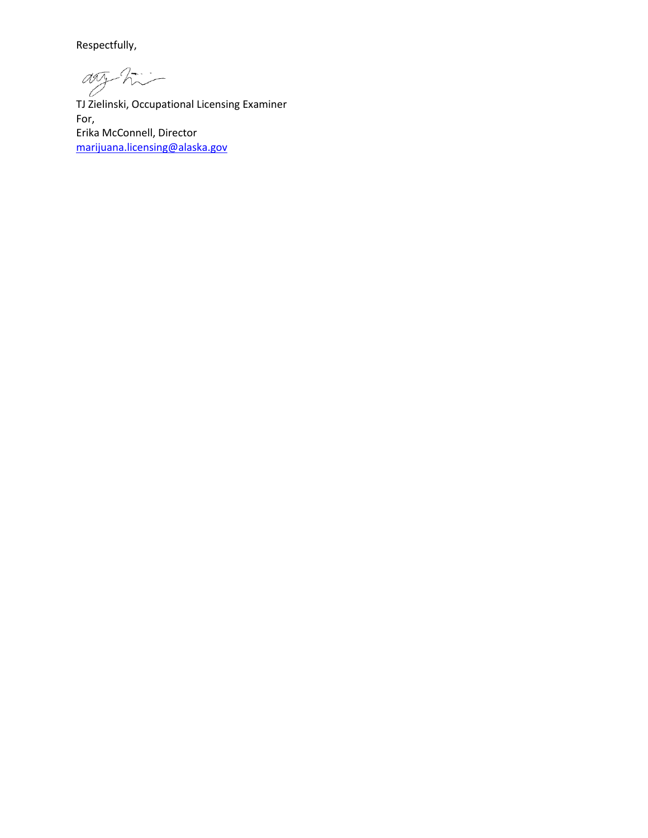Respectfully,

any Andrew<br>TJ Zielinski, Occupational Licensing Examiner

For, Erika McConnell, Director [marijuana.licensing@alaska.gov](mailto:marijuana.licensing@alaska.gov)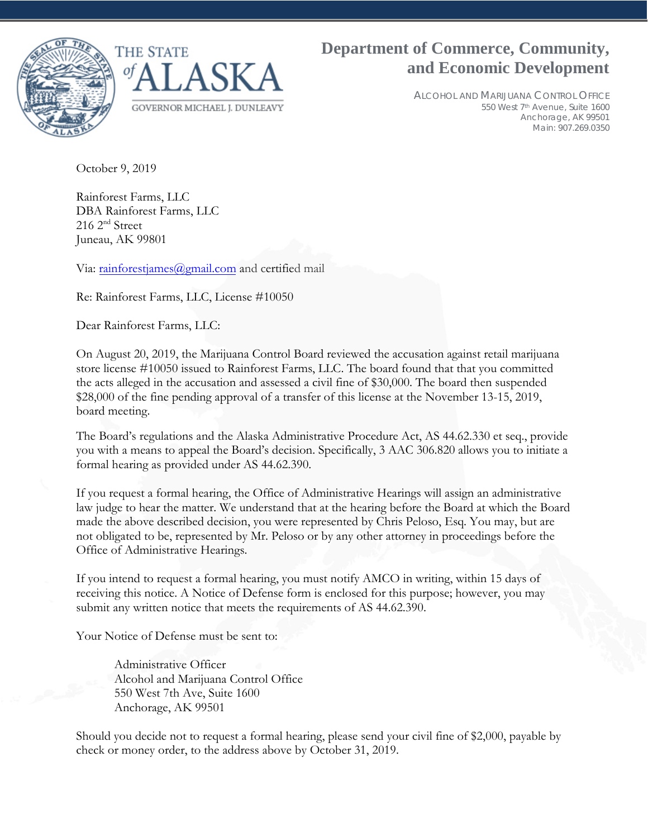

ALCOHOL AND MARIJUANA CONTROL OFFICE 550 West 7th Avenue, Suite 1600 Anchorage, AK 99501 Main: 907.269.0350

October 9, 2019

Rainforest Farms, LLC DBA Rainforest Farms, LLC 216 2nd Street Juneau, AK 99801

Via: [rainforestjames@gmail.com](mailto:rainforestjames@gmail.com) and certified mail

Re: Rainforest Farms, LLC, License #10050

Dear Rainforest Farms, LLC:

On August 20, 2019, the Marijuana Control Board reviewed the accusation against retail marijuana store license #10050 issued to Rainforest Farms, LLC. The board found that that you committed the acts alleged in the accusation and assessed a civil fine of \$30,000. The board then suspended \$28,000 of the fine pending approval of a transfer of this license at the November 13-15, 2019, board meeting.

The Board's regulations and the Alaska Administrative Procedure Act, AS 44.62.330 et seq., provide you with a means to appeal the Board's decision. Specifically, 3 AAC 306.820 allows you to initiate a formal hearing as provided under AS 44.62.390.

If you request a formal hearing, the Office of Administrative Hearings will assign an administrative law judge to hear the matter. We understand that at the hearing before the Board at which the Board made the above described decision, you were represented by Chris Peloso, Esq. You may, but are not obligated to be, represented by Mr. Peloso or by any other attorney in proceedings before the Office of Administrative Hearings.

If you intend to request a formal hearing, you must notify AMCO in writing, within 15 days of receiving this notice. A Notice of Defense form is enclosed for this purpose; however, you may submit any written notice that meets the requirements of AS 44.62.390.

Your Notice of Defense must be sent to:

Administrative Officer Alcohol and Marijuana Control Office 550 West 7th Ave, Suite 1600 Anchorage, AK 99501

Should you decide not to request a formal hearing, please send your civil fine of \$2,000, payable by check or money order, to the address above by October 31, 2019.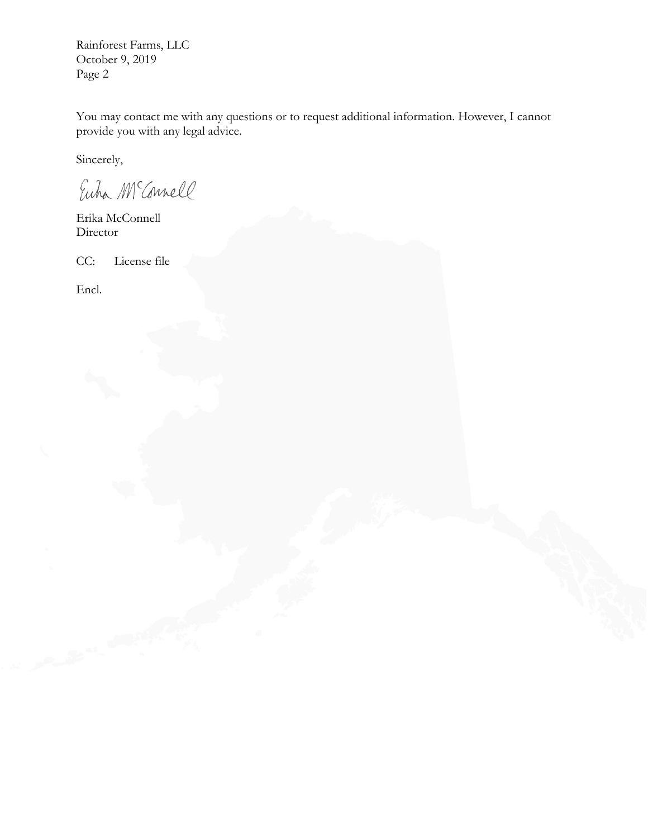Rainforest Farms, LLC October 9, 2019 Page 2

You may contact me with any questions or to request additional information. However, I cannot provide you with any legal advice.

Sincerely,

Euha McConnell

Erika McConnell Director

CC: License file

Encl.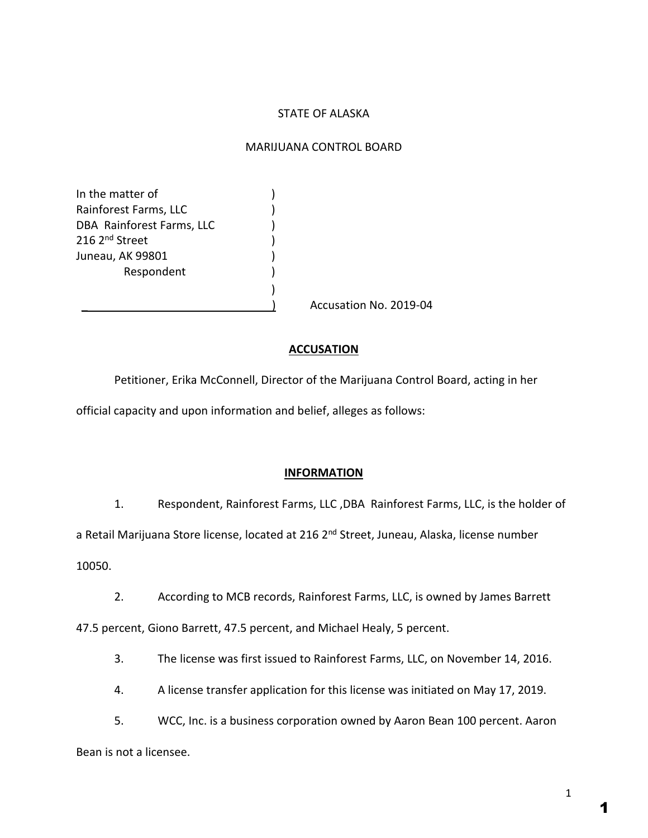## STATE OF ALASKA

#### MARIJUANA CONTROL BOARD

In the matter of  $\qquad \qquad$ ) Rainforest Farms, LLC (1998) DBA Rainforest Farms, LLC (1996) 216 2<sup>nd</sup> Street Juneau, AK 99801 (1998) **Respondent** 

Accusation No. 2019-04

### **ACCUSATION**

Petitioner, Erika McConnell, Director of the Marijuana Control Board, acting in her official capacity and upon information and belief, alleges as follows:

)

#### **INFORMATION**

1. Respondent, Rainforest Farms, LLC ,DBA Rainforest Farms, LLC, is the holder of

a Retail Marijuana Store license, located at 216 2<sup>nd</sup> Street, Juneau, Alaska, license number 10050.

2. According to MCB records, Rainforest Farms, LLC, is owned by James Barrett

47.5 percent, Giono Barrett, 47.5 percent, and Michael Healy, 5 percent.

3. The license was first issued to Rainforest Farms, LLC, on November 14, 2016.

4. A license transfer application for this license was initiated on May 17, 2019.

5. WCC, Inc. is a business corporation owned by Aaron Bean 100 percent. Aaron Bean is not a licensee.

1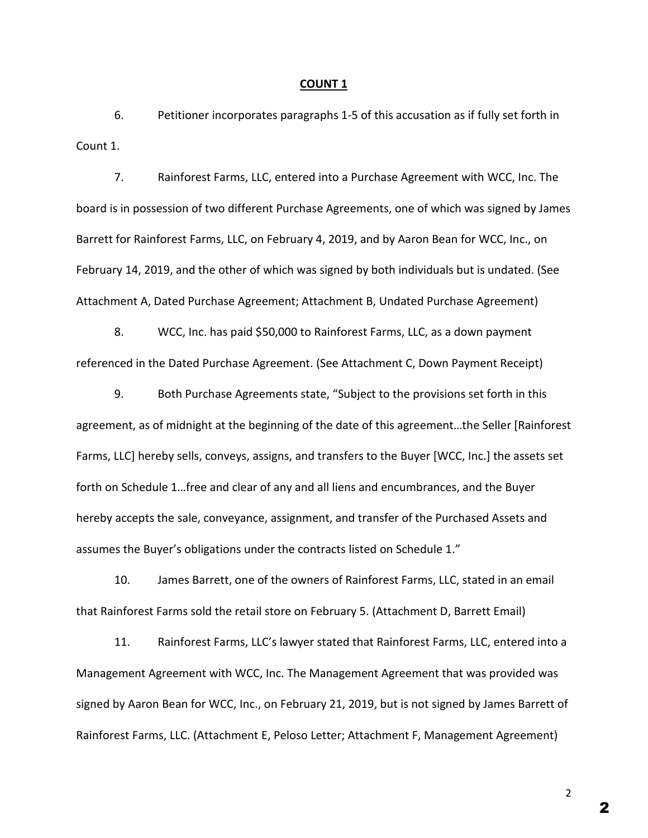#### **COUNT 1**

6. Petitioner incorporates paragraphs 1-5 of this accusation as if fully set forth in Count 1.

7. Rainforest Farms, LLC, entered into a Purchase Agreement with WCC, Inc. The board is in possession of two different Purchase Agreements, one of which was signed by James Barrett for Rainforest Farms, LLC, on February 4, 2019, and by Aaron Bean for WCC, Inc., on February 14, 2019, and the other of which was signed by both individuals but is undated. (See Attachment A, Dated Purchase Agreement; Attachment B, Undated Purchase Agreement)

8. WCC, Inc. has paid \$50,000 to Rainforest Farms, LLC, as a down payment referenced in the Dated Purchase Agreement. (See Attachment C, Down Payment Receipt)

9. Both Purchase Agreements state, "Subject to the provisions set forth in this agreement, as of midnight at the beginning of the date of this agreement…the Seller [Rainforest Farms, LLC] hereby sells, conveys, assigns, and transfers to the Buyer [WCC, Inc.] the assets set forth on Schedule 1…free and clear of any and all liens and encumbrances, and the Buyer hereby accepts the sale, conveyance, assignment, and transfer of the Purchased Assets and assumes the Buyer's obligations under the contracts listed on Schedule 1."

10. James Barrett, one of the owners of Rainforest Farms, LLC, stated in an email that Rainforest Farms sold the retail store on February 5. (Attachment D, Barrett Email)

11. Rainforest Farms, LLC's lawyer stated that Rainforest Farms, LLC, entered into a Management Agreement with WCC, Inc. The Management Agreement that was provided was signed by Aaron Bean for WCC, Inc., on February 21, 2019, but is not signed by James Barrett of Rainforest Farms, LLC. (Attachment E, Peloso Letter; Attachment F, Management Agreement)

2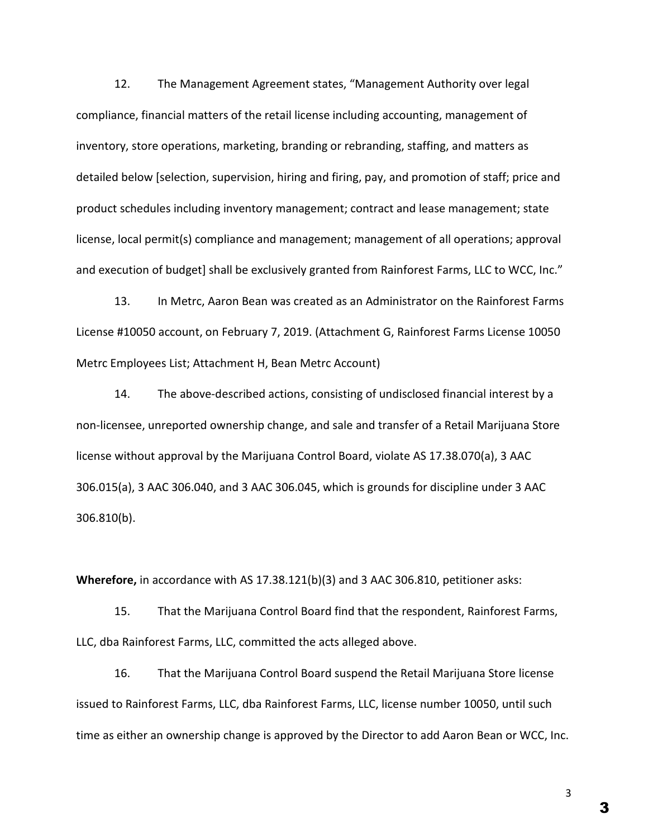12. The Management Agreement states, "Management Authority over legal compliance, financial matters of the retail license including accounting, management of inventory, store operations, marketing, branding or rebranding, staffing, and matters as detailed below [selection, supervision, hiring and firing, pay, and promotion of staff; price and product schedules including inventory management; contract and lease management; state license, local permit(s) compliance and management; management of all operations; approval and execution of budget] shall be exclusively granted from Rainforest Farms, LLC to WCC, Inc."

13. In Metrc, Aaron Bean was created as an Administrator on the Rainforest Farms License #10050 account, on February 7, 2019. (Attachment G, Rainforest Farms License 10050 Metrc Employees List; Attachment H, Bean Metrc Account)

14. The above-described actions, consisting of undisclosed financial interest by a non-licensee, unreported ownership change, and sale and transfer of a Retail Marijuana Store license without approval by the Marijuana Control Board, violate AS 17.38.070(a), 3 AAC 306.015(a), 3 AAC 306.040, and 3 AAC 306.045, which is grounds for discipline under 3 AAC 306.810(b).

**Wherefore,** in accordance with AS 17.38.121(b)(3) and 3 AAC 306.810, petitioner asks:

15. That the Marijuana Control Board find that the respondent, Rainforest Farms, LLC, dba Rainforest Farms, LLC, committed the acts alleged above.

16. That the Marijuana Control Board suspend the Retail Marijuana Store license issued to Rainforest Farms, LLC, dba Rainforest Farms, LLC, license number 10050, until such time as either an ownership change is approved by the Director to add Aaron Bean or WCC, Inc.

3